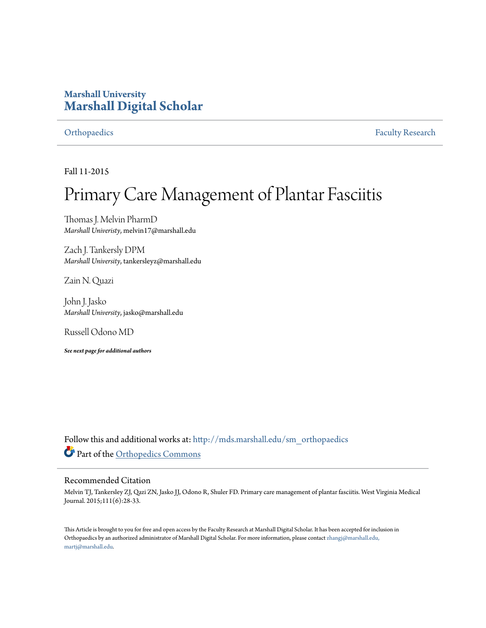## **Marshall University [Marshall Digital Scholar](http://mds.marshall.edu?utm_source=mds.marshall.edu%2Fsm_orthopaedics%2F25&utm_medium=PDF&utm_campaign=PDFCoverPages)**

[Orthopaedics](http://mds.marshall.edu/sm_orthopaedics?utm_source=mds.marshall.edu%2Fsm_orthopaedics%2F25&utm_medium=PDF&utm_campaign=PDFCoverPages) [Faculty Research](http://mds.marshall.edu/sm_faculty?utm_source=mds.marshall.edu%2Fsm_orthopaedics%2F25&utm_medium=PDF&utm_campaign=PDFCoverPages)

Fall 11-2015

# Primary Care Management of Plantar Fasciitis

Thomas J. Melvin PharmD *Marshall Univeristy*, melvin17@marshall.edu

Zach J. Tankersly DPM *Marshall University*, tankersleyz@marshall.edu

Zain N. Quazi

John J. Jasko *Marshall University*, jasko@marshall.edu

Russell Odono MD

*See next page for additional authors*

Follow this and additional works at: [http://mds.marshall.edu/sm\\_orthopaedics](http://mds.marshall.edu/sm_orthopaedics?utm_source=mds.marshall.edu%2Fsm_orthopaedics%2F25&utm_medium=PDF&utm_campaign=PDFCoverPages) Part of the [Orthopedics Commons](http://network.bepress.com/hgg/discipline/696?utm_source=mds.marshall.edu%2Fsm_orthopaedics%2F25&utm_medium=PDF&utm_campaign=PDFCoverPages)

#### Recommended Citation

Melvin TJ, Tankersley ZJ, Qazi ZN, Jasko JJ, Odono R, Shuler FD. Primary care management of plantar fasciitis. West Virginia Medical Journal. 2015;111(6):28-33.

This Article is brought to you for free and open access by the Faculty Research at Marshall Digital Scholar. It has been accepted for inclusion in Orthopaedics by an authorized administrator of Marshall Digital Scholar. For more information, please contact [zhangj@marshall.edu,](mailto:zhangj@marshall.edu,%20martj@marshall.edu) [martj@marshall.edu](mailto:zhangj@marshall.edu,%20martj@marshall.edu).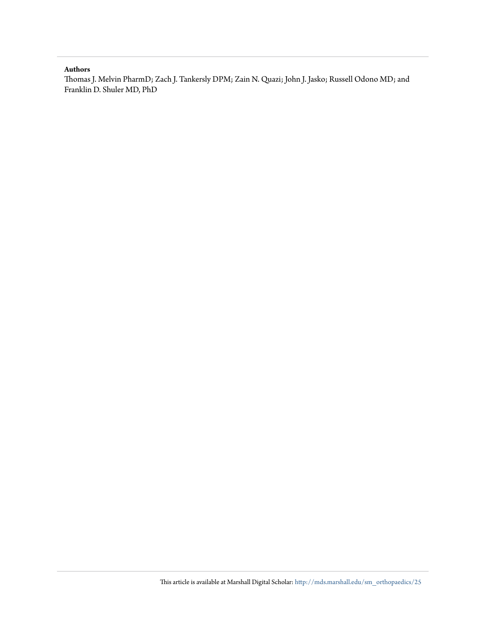#### **Authors**

Thomas J. Melvin PharmD; Zach J. Tankersly DPM; Zain N. Quazi; John J. Jasko; Russell Odono MD; and Franklin D. Shuler MD, PhD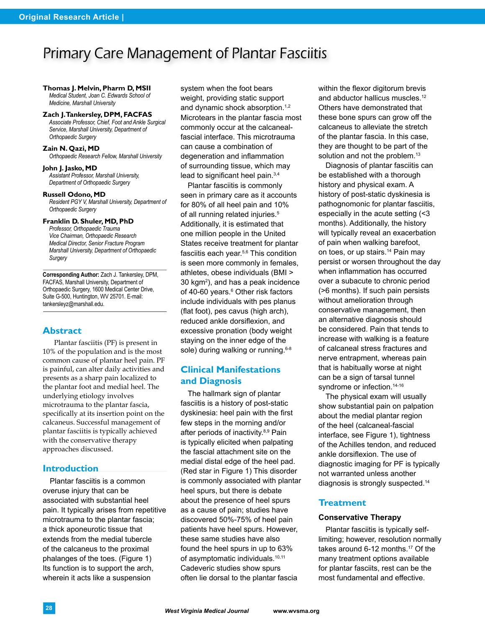# Primary Care Management of Plantar Fasciitis

#### **Thomas J. Melvin, Pharm D, MSII**

*Medical Student, Joan C. Edwards School of Medicine, Marshall University*

#### **Zach J. Tankersley, DPM, FACFAS**

*Associate Professor, Chief, Foot and Ankle Surgical Service, Marshall University, Department of Orthopaedic Surgery*

#### **Zain N. Qazi, MD**

*Orthopaedic Research Fellow, Marshall University*

#### **John J. Jasko, MD** *Assistant Professor, Marshall University, Department of Orthopaedic Surgery*

**Russell Odono, MD** *Resident PGY V, Marshall University, Department of Orthopaedic Surgery*

#### **Franklin D. Shuler, MD, PhD**

*Professor, Orthopaedic Trauma Vice Chairman, Orthopaedic Research Medical Director, Senior Fracture Program Marshall University, Department of Orthopaedic Surgery*

**Corresponding Author:** Zach J. Tankersley, DPM, FACFAS, Marshall University, Department of Orthopaedic Surgery, 1600 Medical Center Drive, Suite G-500, Huntington, WV 25701. E-mail: tankersleyz@marshall.edu.

#### **Abstract**

Plantar fasciitis (PF) is present in 10% of the population and is the most common cause of plantar heel pain. PF is painful, can alter daily activities and presents as a sharp pain localized to the plantar foot and medial heel. The underlying etiology involves microtrauma to the plantar fascia, specifically at its insertion point on the calcaneus. Successful management of plantar fasciitis is typically achieved with the conservative therapy approaches discussed.

#### **Introduction**

Plantar fasciitis is a common overuse injury that can be associated with substantial heel pain. It typically arises from repetitive microtrauma to the plantar fascia; a thick aponeurotic tissue that extends from the medial tubercle of the calcaneus to the proximal phalanges of the toes. (Figure 1) Its function is to support the arch, wherein it acts like a suspension

system when the foot bears weight, providing static support and dynamic shock absorption.<sup>1,2</sup> Microtears in the plantar fascia most commonly occur at the calcanealfascial interface. This microtrauma can cause a combination of degeneration and inflammation of surrounding tissue, which may lead to significant heel pain.3,4

Plantar fasciitis is commonly seen in primary care as it accounts for 80% of all heel pain and 10% of all running related injuries.<sup>5</sup> Additionally, it is estimated that one million people in the United States receive treatment for plantar fasciitis each year.5,6 This condition is seen more commonly in females, athletes, obese individuals (BMI > 30 kgm2 ), and has a peak incidence of 40-60 years.<sup>6</sup> Other risk factors include individuals with pes planus (flat foot), pes cavus (high arch), reduced ankle dorsiflexion, and excessive pronation (body weight staying on the inner edge of the sole) during walking or running.<sup>6-8</sup>

### **Clinical Manifestations and Diagnosis**

The hallmark sign of plantar fasciitis is a history of post-static dyskinesia: heel pain with the first few steps in the morning and/or after periods of inactivity.<sup>8,9</sup> Pain is typically elicited when palpating the fascial attachment site on the medial distal edge of the heel pad. (Red star in Figure 1) This disorder is commonly associated with plantar heel spurs, but there is debate about the presence of heel spurs as a cause of pain; studies have discovered 50%-75% of heel pain patients have heel spurs. However, these same studies have also found the heel spurs in up to 63% of asymptomatic individuals.<sup>10,11</sup> Cadeveric studies show spurs often lie dorsal to the plantar fascia

within the flexor digitorum brevis and abductor hallicus muscles.<sup>12</sup> Others have demonstrated that these bone spurs can grow off the calcaneus to alleviate the stretch of the plantar fascia. In this case, they are thought to be part of the solution and not the problem.<sup>13</sup>

Diagnosis of plantar fasciitis can be established with a thorough history and physical exam. A history of post-static dyskinesia is pathognomonic for plantar fasciitis, especially in the acute setting (<3 months). Additionally, the history will typically reveal an exacerbation of pain when walking barefoot, on toes, or up stairs.<sup>14</sup> Pain may persist or worsen throughout the day when inflammation has occurred over a subacute to chronic period (>6 months). If such pain persists without amelioration through conservative management, then an alternative diagnosis should be considered. Pain that tends to increase with walking is a feature of calcaneal stress fractures and nerve entrapment, whereas pain that is habitually worse at night can be a sign of tarsal tunnel syndrome or infection.<sup>14-16</sup>

The physical exam will usually show substantial pain on palpation about the medial plantar region of the heel (calcaneal-fascial interface, see Figure 1), tightness of the Achilles tendon, and reduced ankle dorsiflexion. The use of diagnostic imaging for PF is typically not warranted unless another diagnosis is strongly suspected.14

#### **Treatment**

#### **Conservative Therapy**

Plantar fasciitis is typically selflimiting; however, resolution normally takes around 6-12 months.17 Of the many treatment options available for plantar fasciits, rest can be the most fundamental and effective.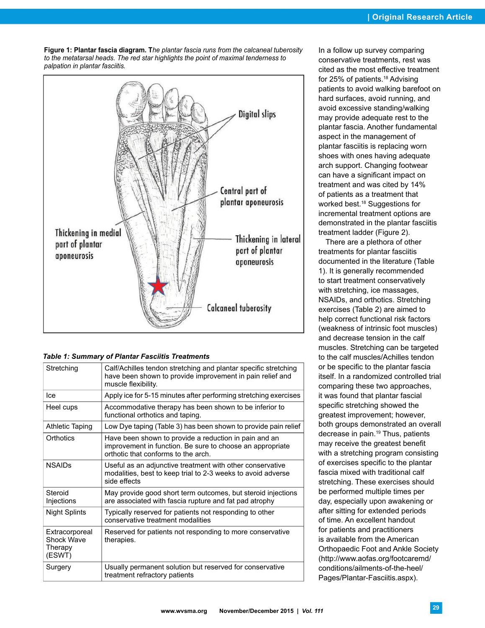**Figure 1: Plantar fascia diagram. T***he plantar fascia runs from the calcaneal tuberosity to the metatarsal heads. The red star highlights the point of maximal tenderness to palpation in plantar fasciitis.* 



#### *Table 1: Summary of Plantar Fasciitis Treatments*

| Stretching                                        | Calf/Achilles tendon stretching and plantar specific stretching<br>have been shown to provide improvement in pain relief and<br>muscle flexibility.       |
|---------------------------------------------------|-----------------------------------------------------------------------------------------------------------------------------------------------------------|
| lce                                               | Apply ice for 5-15 minutes after performing stretching exercises                                                                                          |
| Heel cups                                         | Accommodative therapy has been shown to be inferior to<br>functional orthotics and taping.                                                                |
| Athletic Taping                                   | Low Dye taping (Table 3) has been shown to provide pain relief                                                                                            |
| Orthotics                                         | Have been shown to provide a reduction in pain and an<br>improvement in function. Be sure to choose an appropriate<br>orthotic that conforms to the arch. |
| <b>NSAIDs</b>                                     | Useful as an adjunctive treatment with other conservative<br>modalities, best to keep trial to 2-3 weeks to avoid adverse<br>side effects                 |
| Steroid<br>Injections                             | May provide good short term outcomes, but steroid injections<br>are associated with fascia rupture and fat pad atrophy                                    |
| <b>Night Splints</b>                              | Typically reserved for patients not responding to other<br>conservative treatment modalities                                                              |
| Extracorporeal<br>Shock Wave<br>Therapy<br>(ESWT) | Reserved for patients not responding to more conservative<br>therapies.                                                                                   |
| Surgery                                           | Usually permanent solution but reserved for conservative<br>treatment refractory patients                                                                 |

In a follow up survey comparing conservative treatments, rest was cited as the most effective treatment for 25% of patients.<sup>18</sup> Advising patients to avoid walking barefoot on hard surfaces, avoid running, and avoid excessive standing/walking may provide adequate rest to the plantar fascia. Another fundamental aspect in the management of plantar fasciitis is replacing worn shoes with ones having adequate arch support. Changing footwear can have a significant impact on treatment and was cited by 14% of patients as a treatment that worked best.<sup>18</sup> Suggestions for incremental treatment options are demonstrated in the plantar fasciitis treatment ladder (Figure 2).

There are a plethora of other treatments for plantar fasciitis documented in the literature (Table 1). It is generally recommended to start treatment conservatively with stretching, ice massages, NSAIDs, and orthotics. Stretching exercises (Table 2) are aimed to help correct functional risk factors (weakness of intrinsic foot muscles) and decrease tension in the calf muscles. Stretching can be targeted to the calf muscles/Achilles tendon or be specific to the plantar fascia itself. In a randomized controlled trial comparing these two approaches, it was found that plantar fascial specific stretching showed the greatest improvement; however, both groups demonstrated an overall decrease in pain.<sup>19</sup> Thus, patients may receive the greatest benefit with a stretching program consisting of exercises specific to the plantar fascia mixed with traditional calf stretching. These exercises should be performed multiple times per day, especially upon awakening or after sitting for extended periods of time. An excellent handout for patients and practitioners is available from the American Orthopaedic Foot and Ankle Society (http://www.aofas.org/footcaremd/ conditions/ailments-of-the-heel/ Pages/Plantar-Fasciitis.aspx).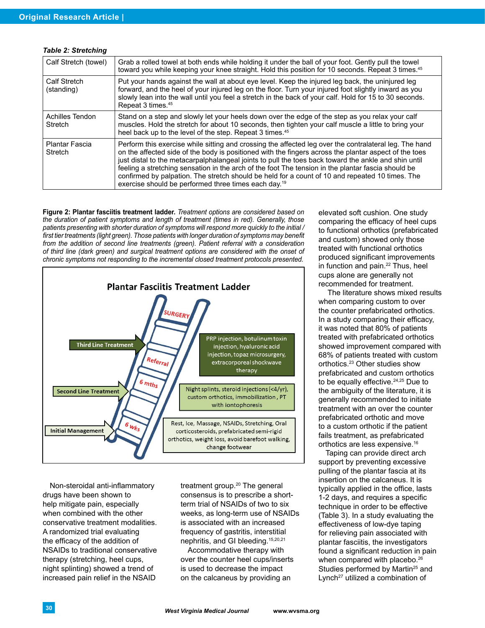| Calf Stretch (towel)             | Grab a rolled towel at both ends while holding it under the ball of your foot. Gently pull the towel<br>toward you while keeping your knee straight. Hold this position for 10 seconds. Repeat 3 times. <sup>45</sup>                                                                                                                                                                                                                                                                                                                                                                                |
|----------------------------------|------------------------------------------------------------------------------------------------------------------------------------------------------------------------------------------------------------------------------------------------------------------------------------------------------------------------------------------------------------------------------------------------------------------------------------------------------------------------------------------------------------------------------------------------------------------------------------------------------|
| Calf Stretch<br>(standing)       | Put your hands against the wall at about eye level. Keep the injured leg back, the uninjured leg<br>forward, and the heel of your injured leg on the floor. Turn your injured foot slightly inward as you<br>slowly lean into the wall until you feel a stretch in the back of your calf. Hold for 15 to 30 seconds.<br>Repeat 3 times. <sup>45</sup>                                                                                                                                                                                                                                                |
| Achilles Tendon<br>Stretch       | Stand on a step and slowly let your heels down over the edge of the step as you relax your calf<br>muscles. Hold the stretch for about 10 seconds, then tighten your calf muscle a little to bring your<br>heel back up to the level of the step. Repeat 3 times. <sup>45</sup>                                                                                                                                                                                                                                                                                                                      |
| <b>Plantar Fascia</b><br>Stretch | Perform this exercise while sitting and crossing the affected leg over the contralateral leg. The hand<br>on the affected side of the body is positioned with the fingers across the plantar aspect of the toes<br>just distal to the metacarpalphalangeal joints to pull the toes back toward the ankle and shin until<br>feeling a stretching sensation in the arch of the foot The tension in the plantar fascia should be<br>confirmed by palpation. The stretch should be held for a count of 10 and repeated 10 times. The<br>exercise should be performed three times each day. <sup>19</sup> |

#### *Table 2: Stretching*

**Figure 2: Plantar fasciitis treatment ladder.** *Treatment options are considered based on the duration of patient symptoms and length of treatment (times in red). Generally, those patients presenting with shorter duration of symptoms will respond more quickly to the initial /*  first tier treatments (light green). Those patients with longer duration of symptoms may benefit *from the addition of second line treatments (green). Patient referral with a consideration of third line (dark green) and surgical treatment options are considered with the onset of chronic symptoms not responding to the incremental closed treatment protocols presented.* 



Non-steroidal anti-inflammatory drugs have been shown to help mitigate pain, especially when combined with the other conservative treatment modalities. A randomized trial evaluating the efficacy of the addition of NSAIDs to traditional conservative therapy (stretching, heel cups, night splinting) showed a trend of increased pain relief in the NSAID

treatment group.20 The general consensus is to prescribe a shortterm trial of NSAIDs of two to six weeks, as long-term use of NSAIDs is associated with an increased frequency of gastritis, interstitial nephritis, and GI bleeding.15,20,21

Accommodative therapy with over the counter heel cups/inserts is used to decrease the impact on the calcaneus by providing an

elevated soft cushion. One study comparing the efficacy of heel cups to functional orthotics (prefabricated and custom) showed only those treated with functional orthotics produced significant improvements in function and pain. $22$  Thus, heel cups alone are generally not recommended for treatment.

 The literature shows mixed results when comparing custom to over the counter prefabricated orthotics. In a study comparing their efficacy, it was noted that 80% of patients treated with prefabricated orthotics showed improvement compared with 68% of patients treated with custom orthotics.23 Other studies show prefabricated and custom orthotics to be equally effective. $24,25$  Due to the ambiguity of the literature, it is generally recommended to initiate treatment with an over the counter prefabricated orthotic and move to a custom orthotic if the patient fails treatment, as prefabricated orthotics are less expensive.16

Taping can provide direct arch support by preventing excessive pulling of the plantar fascia at its insertion on the calcaneus. It is typically applied in the office, lasts 1-2 days, and requires a specific technique in order to be effective (Table 3). In a study evaluating the effectiveness of low-dye taping for relieving pain associated with plantar fasciitis, the investigators found a significant reduction in pain when compared with placebo.<sup>26</sup> Studies performed by Martin<sup>25</sup> and Lynch<sup>27</sup> utilized a combination of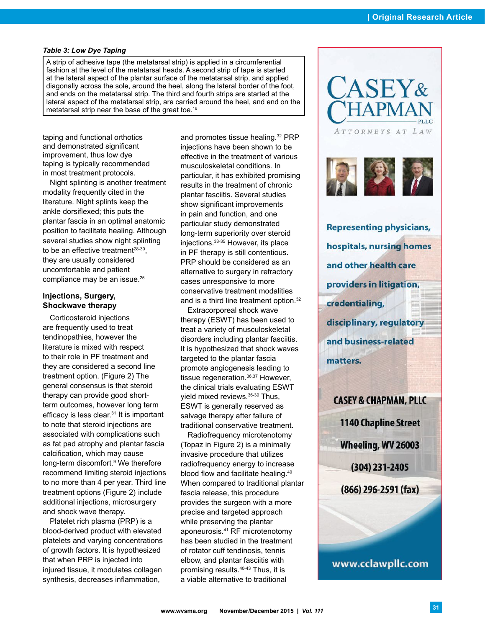#### *Table 3: Low Dye Taping*

A strip of adhesive tape (the metatarsal strip) is applied in a circumferential fashion at the level of the metatarsal heads. A second strip of tape is started at the lateral aspect of the plantar surface of the metatarsal strip, and applied diagonally across the sole, around the heel, along the lateral border of the foot, and ends on the metatarsal strip. The third and fourth strips are started at the lateral aspect of the metatarsal strip, are carried around the heel, and end on the metatarsal strip near the base of the great toe.16

taping and functional orthotics and demonstrated significant improvement, thus low dye taping is typically recommended in most treatment protocols.

Night splinting is another treatment modality frequently cited in the literature. Night splints keep the ankle dorsiflexed; this puts the plantar fascia in an optimal anatomic position to facilitate healing. Although several studies show night splinting to be an effective treatment<sup>28-30</sup>, they are usually considered uncomfortable and patient compliance may be an issue.<sup>25</sup>

#### **Injections, Surgery, Shockwave therapy**

Corticosteroid injections are frequently used to treat tendinopathies, however the literature is mixed with respect to their role in PF treatment and they are considered a second line treatment option. (Figure 2) The general consensus is that steroid therapy can provide good shortterm outcomes, however long term efficacy is less clear.31 It is important to note that steroid injections are associated with complications such as fat pad atrophy and plantar fascia calcification, which may cause long-term discomfort.<sup>9</sup> We therefore recommend limiting steroid injections to no more than 4 per year. Third line treatment options (Figure 2) include additional injections, microsurgery and shock wave therapy.

Platelet rich plasma (PRP) is a blood-derived product with elevated platelets and varying concentrations of growth factors. It is hypothesized that when PRP is injected into injured tissue, it modulates collagen synthesis, decreases inflammation,

and promotes tissue healing.32 PRP injections have been shown to be effective in the treatment of various musculoskeletal conditions. In particular, it has exhibited promising results in the treatment of chronic plantar fasciitis. Several studies show significant improvements in pain and function, and one particular study demonstrated long-term superiority over steroid injections.33-35 However, its place in PF therapy is still contentious. PRP should be considered as an alternative to surgery in refractory cases unresponsive to more conservative treatment modalities and is a third line treatment option.<sup>32</sup>

Extracorporeal shock wave therapy (ESWT) has been used to treat a variety of musculoskeletal disorders including plantar fasciitis. It is hypothesized that shock waves targeted to the plantar fascia promote angiogenesis leading to tissue regeneration.<sup>36,37</sup> However, the clinical trials evaluating ESWT yield mixed reviews.36-39 Thus, ESWT is generally reserved as salvage therapy after failure of traditional conservative treatment.

Radiofrequency microtenotomy (Topaz in Figure 2) is a minimally invasive procedure that utilizes radiofrequency energy to increase blood flow and facilitate healing.<sup>40</sup> When compared to traditional plantar fascia release, this procedure provides the surgeon with a more precise and targeted approach while preserving the plantar aponeurosis.41 RF microtenotomy has been studied in the treatment of rotator cuff tendinosis, tennis elbow, and plantar fasciitis with promising results.40-43 Thus, it is a viable alternative to traditional



**Representing physicians,** hospitals, nursing homes and other health care providers in litigation, credentialing, disciplinary, regulatory and business-related matters.

**CASEY & CHAPMAN, PLLC 1140 Chapline Street** Wheeling, WV 26003 (304) 231-2405  $(866)$  296-2591 (fax)

www.cclawpllc.com